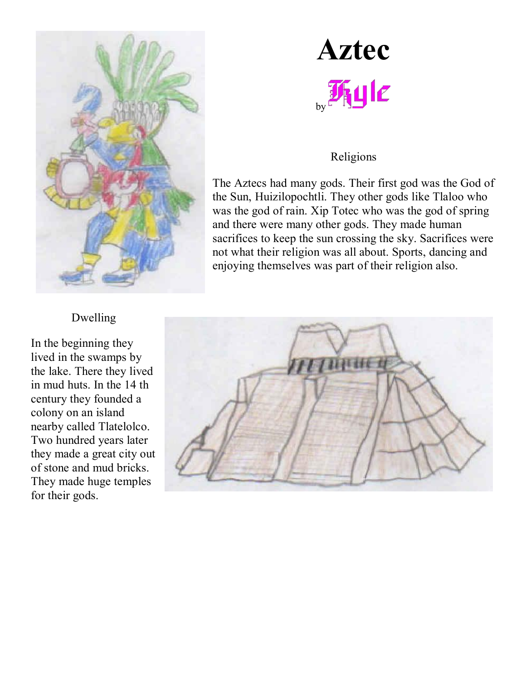



## Religions

The Aztecs had many gods. Their first god was the God of the Sun, Huizilopochtli. They other gods like Tlaloo who was the god of rain. Xip Totec who was the god of spring and there were many other gods. They made human sacrifices to keep the sun crossing the sky. Sacrifices were not what their religion was all about. Sports, dancing and enjoying themselves was part of their religion also.

## Dwelling

In the beginning they lived in the swamps by the lake. There they lived in mud huts. In the 14 th century they founded a colony on an island nearby called Tlatelolco. Two hundred years later they made a great city out of stone and mud bricks. They made huge temples for their gods.